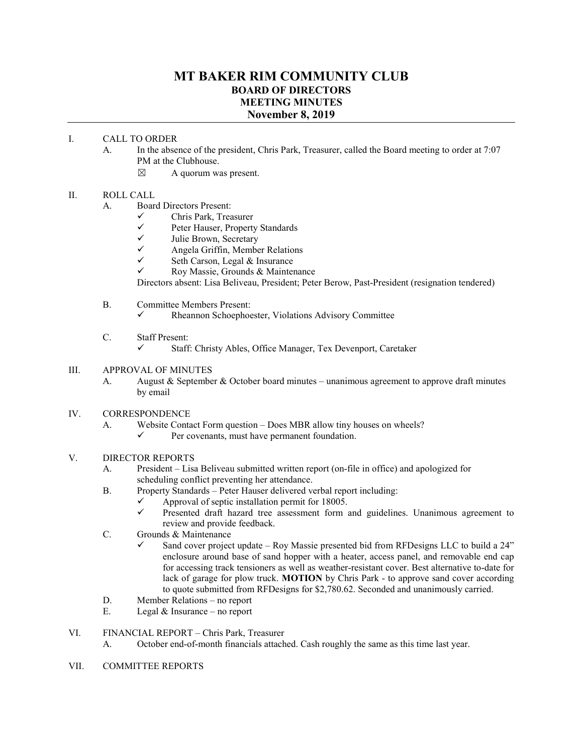# **MT BAKER RIM COMMUNITY CLUB BOARD OF DIRECTORS MEETING MINUTES November 8, 2019**

### I. CALL TO ORDER

- A. In the absence of the president, Chris Park, Treasurer, called the Board meeting to order at 7:07 PM at the Clubhouse.
	- $\boxtimes$  A quorum was present.

### II. ROLL CALL

- A. Board Directors Present:
	- $\checkmark$  Chris Park, Treasurer<br> $\checkmark$  Peter Hauser Property
	- $\checkmark$  Peter Hauser, Property Standards<br> $\checkmark$  Iulie Brown Secretary
	- $\checkmark$  Julie Brown, Secretary<br> $\checkmark$  Angela Griffin Member
	- $\checkmark$  Angela Griffin, Member Relations<br> $\checkmark$  Seth Carson Legal & Insurance
	- Seth Carson, Legal & Insurance
	- $\checkmark$  Roy Massie, Grounds & Maintenance

Directors absent: Lisa Beliveau, President; Peter Berow, Past-President (resignation tendered)

- B. Committee Members Present:
	- Rheannon Schoephoester, Violations Advisory Committee
- C. Staff Present:
	- $\checkmark$  Staff: Christy Ables, Office Manager, Tex Devenport, Caretaker

### III. APPROVAL OF MINUTES

A. August & September & October board minutes – unanimous agreement to approve draft minutes by email

## IV. CORRESPONDENCE

- A. Website Contact Form question Does MBR allow tiny houses on wheels?
	- Per covenants, must have permanent foundation.

## V. DIRECTOR REPORTS

- A. President Lisa Beliveau submitted written report (on-file in office) and apologized for scheduling conflict preventing her attendance.
- B. Property Standards Peter Hauser delivered verbal report including:
	- $\checkmark$  Approval of septic installation permit for 18005.
		- Presented draft hazard tree assessment form and guidelines. Unanimous agreement to review and provide feedback.
- C. Grounds & Maintenance
	- Sand cover project update Roy Massie presented bid from RFDesigns LLC to build a 24" enclosure around base of sand hopper with a heater, access panel, and removable end cap for accessing track tensioners as well as weather-resistant cover. Best alternative to-date for lack of garage for plow truck. **MOTION** by Chris Park - to approve sand cover according to quote submitted from RFDesigns for \$2,780.62. Seconded and unanimously carried.
- D. Member Relations no report
- E. Legal & Insurance no report

### VI. FINANCIAL REPORT – Chris Park, Treasurer

- A. October end-of-month financials attached. Cash roughly the same as this time last year.
- VII. COMMITTEE REPORTS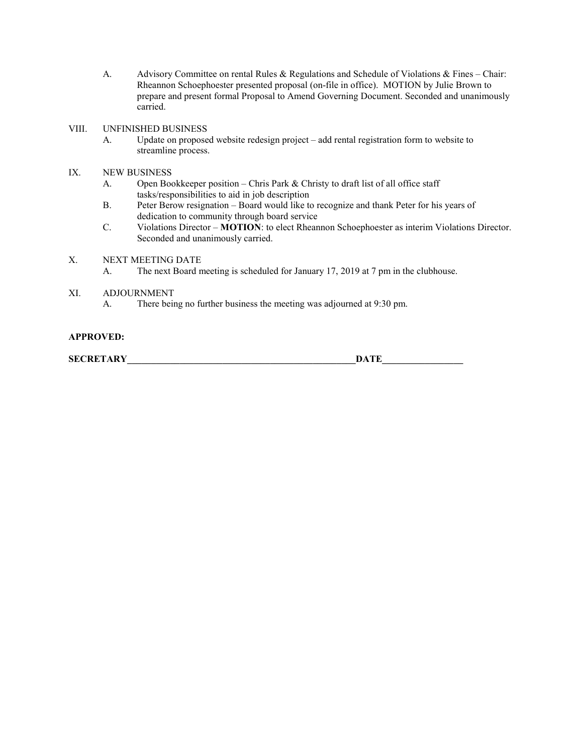A. Advisory Committee on rental Rules & Regulations and Schedule of Violations & Fines – Chair: Rheannon Schoephoester presented proposal (on-file in office). MOTION by Julie Brown to prepare and present formal Proposal to Amend Governing Document. Seconded and unanimously carried.

### VIII. UNFINISHED BUSINESS

- A. Update on proposed website redesign project add rental registration form to website to streamline process.
- IX. NEW BUSINESS
	- A. Open Bookkeeper position Chris Park & Christy to draft list of all office staff tasks/responsibilities to aid in job description
	- B. Peter Berow resignation Board would like to recognize and thank Peter for his years of dedication to community through board service
	- C. Violations Director **MOTION**: to elect Rheannon Schoephoester as interim Violations Director. Seconded and unanimously carried.
- X. NEXT MEETING DATE
	- A. The next Board meeting is scheduled for January 17, 2019 at 7 pm in the clubhouse.
- XI. ADJOURNMENT
	- A. There being no further business the meeting was adjourned at 9:30 pm.

### **APPROVED:**

**SECRETARY\_\_\_\_\_\_\_\_\_\_\_\_\_\_\_\_\_\_\_\_\_\_\_\_\_\_\_\_\_\_\_\_\_\_\_\_\_\_\_\_\_\_\_\_\_\_\_\_DATE\_\_\_\_\_\_\_\_\_\_\_\_\_\_\_\_\_**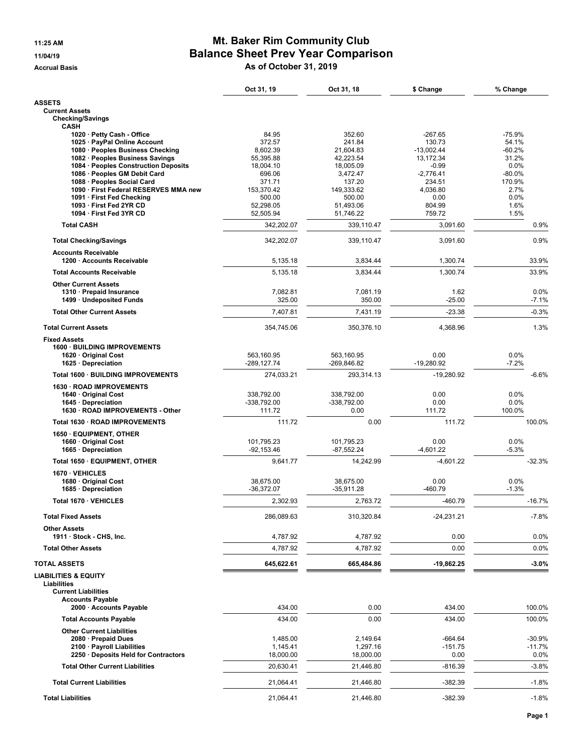# 11:25 AM **Mt. Baker Rim Community Club** 11/04/19 **Balance Sheet Prev Year Comparison** Accrual Basis **Accrual Basis** As of October 31, 2019

|                                                            | Oct 31, 19                | Oct 31, 18                | \$ Change             | % Change           |
|------------------------------------------------------------|---------------------------|---------------------------|-----------------------|--------------------|
| <b>ASSETS</b>                                              |                           |                           |                       |                    |
| <b>Current Assets</b><br><b>Checking/Savings</b>           |                           |                           |                       |                    |
| <b>CASH</b>                                                |                           |                           |                       |                    |
| 1020 · Petty Cash - Office<br>1025 · PayPal Online Account | 84.95<br>372.57           | 352.60<br>241.84          | $-267.65$<br>130.73   | $-75.9%$<br>54.1%  |
| 1080 · Peoples Business Checking                           | 8,602.39                  | 21,604.83                 | $-13,002.44$          | -60.2%             |
| 1082 · Peoples Business Savings                            | 55,395.88                 | 42,223.54                 | 13,172.34             | 31.2%              |
| 1084 · Peoples Construction Deposits                       | 18,004.10                 | 18,005.09                 | $-0.99$               | 0.0%               |
| 1086 · Peoples GM Debit Card<br>1088 · Peoples Social Card | 696.06<br>371.71          | 3,472.47<br>137.20        | $-2,776.41$<br>234.51 | $-80.0%$<br>170.9% |
| 1090 · First Federal RESERVES MMA new                      | 153,370.42                | 149,333.62                | 4,036.80              | 2.7%               |
| 1091 · First Fed Checking                                  | 500.00                    | 500.00                    | 0.00                  | 0.0%               |
| 1093 · First Fed 2YR CD<br>1094 · First Fed 3YR CD         | 52,298.05<br>52,505.94    | 51,493.06<br>51,746.22    | 804.99<br>759.72      | 1.6%<br>1.5%       |
| <b>Total CASH</b>                                          | 342,202.07                | 339.110.47                | 3.091.60              | 0.9%               |
| <b>Total Checking/Savings</b>                              | 342,202.07                | 339,110.47                | 3,091.60              | 0.9%               |
| <b>Accounts Receivable</b><br>1200 · Accounts Receivable   | 5,135.18                  | 3,834.44                  | 1,300.74              | 33.9%              |
| <b>Total Accounts Receivable</b>                           | 5,135.18                  | 3,834.44                  | 1,300.74              | 33.9%              |
| <b>Other Current Assets</b>                                |                           |                           |                       |                    |
| 1310 · Prepaid Insurance<br>1499 · Undeposited Funds       | 7,082.81<br>325.00        | 7,081.19<br>350.00        | 1.62<br>$-25.00$      | 0.0%<br>-7.1%      |
| <b>Total Other Current Assets</b>                          | 7,407.81                  | 7,431.19                  | $-23.38$              | $-0.3%$            |
| <b>Total Current Assets</b>                                | 354.745.06                | 350,376.10                | 4,368.96              | 1.3%               |
| <b>Fixed Assets</b>                                        |                           |                           |                       |                    |
| 1600 · BUILDING IMPROVEMENTS                               | 563.160.95                |                           |                       |                    |
| 1620 · Original Cost<br>1625 · Depreciation                | -289,127.74               | 563,160.95<br>-269,846.82 | 0.00<br>$-19,280.92$  | 0.0%<br>$-7.2%$    |
| Total 1600 · BUILDING IMPROVEMENTS                         | 274,033.21                | 293,314.13                | $-19,280.92$          | $-6.6%$            |
| 1630 · ROAD IMPROVEMENTS                                   |                           |                           |                       |                    |
| 1640 · Original Cost<br>1645 · Depreciation                | 338,792.00<br>-338,792.00 | 338,792.00<br>-338,792.00 | 0.00<br>0.00          | 0.0%<br>0.0%       |
| 1630 · ROAD IMPROVEMENTS - Other                           | 111.72                    | 0.00                      | 111.72                | 100.0%             |
| Total 1630 · ROAD IMPROVEMENTS                             | 111.72                    | 0.00                      | 111.72                | 100.0%             |
| 1650 · EQUIPMENT, OTHER                                    |                           |                           |                       |                    |
| 1660 Original Cost                                         | 101,795.23                | 101,795.23                | 0.00                  | 0.0%               |
| 1665 · Depreciation                                        | $-92,153.46$              | $-87,552.24$              | $-4,601.22$           | $-5.3%$            |
| Total 1650 · EQUIPMENT, OTHER                              | 9,641.77                  | 14.242.99                 | $-4,601.22$           | $-32.3%$           |
| 1670 · VEHICLES<br>1680 Original Cost                      | 38,675.00                 | 38,675.00                 | 0.00                  | 0.0%               |
| 1685 · Depreciation                                        | $-36,372.07$              | $-35,911.28$              | $-460.79$             | $-1.3%$            |
| Total 1670 · VEHICLES                                      | 2,302.93                  | 2,763.72                  | $-460.79$             | $-16.7%$           |
| <b>Total Fixed Assets</b>                                  | 286,089.63                | 310,320.84                | -24,231.21            | $-7.8%$            |
| <b>Other Assets</b><br>1911 · Stock - CHS, Inc.            | 4,787.92                  | 4,787.92                  | 0.00                  | 0.0%               |
| <b>Total Other Assets</b>                                  | 4,787.92                  | 4,787.92                  | 0.00                  | 0.0%               |
| <b>TOTAL ASSETS</b>                                        | 645,622.61                | 665,484.86                | $-19,862.25$          | $-3.0%$            |
| <b>LIABILITIES &amp; EQUITY</b>                            |                           |                           |                       |                    |
| Liabilities<br><b>Current Liabilities</b>                  |                           |                           |                       |                    |
| <b>Accounts Payable</b>                                    |                           |                           |                       |                    |
| 2000 · Accounts Payable                                    | 434.00                    | 0.00                      | 434.00                | 100.0%             |
| <b>Total Accounts Payable</b>                              | 434.00                    | 0.00                      | 434.00                | 100.0%             |
| <b>Other Current Liabilities</b><br>2080 · Prepaid Dues    | 1,485.00                  | 2,149.64                  | $-664.64$             | $-30.9%$           |
| 2100 · Payroll Liabilities                                 | 1,145.41                  | 1,297.16                  | $-151.75$             | $-11.7%$           |
| 2250 Deposits Held for Contractors                         | 18,000.00                 | 18,000.00                 | 0.00                  | 0.0%               |
| <b>Total Other Current Liabilities</b>                     | 20,630.41                 | 21,446.80                 | $-816.39$             | $-3.8%$            |
| <b>Total Current Liabilities</b>                           | 21,064.41                 | 21,446.80                 | $-382.39$             | $-1.8%$            |
| <b>Total Liabilities</b>                                   | 21,064.41                 | 21,446.80                 | $-382.39$             | $-1.8%$            |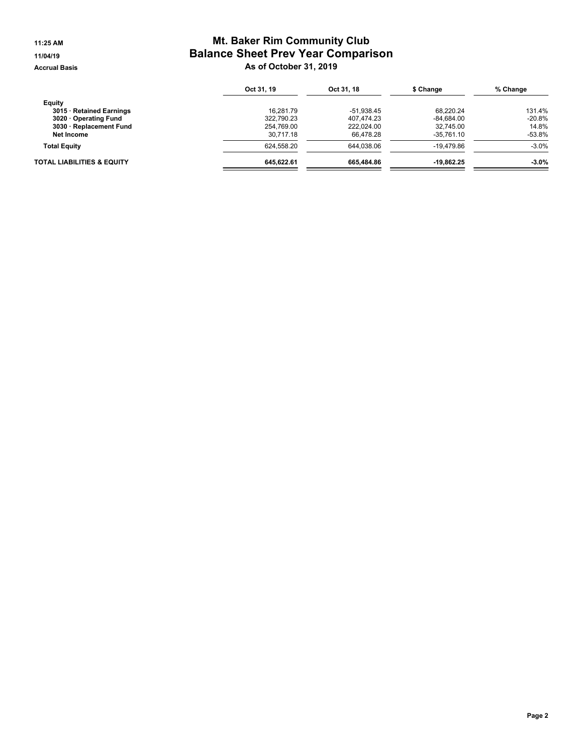# 11:25 AM **Mt. Baker Rim Community Club** 11/04/19 **Balance Sheet Prev Year Comparison** Accrual Basis **Accrual Basis** As of October 31, 2019

|                            | Oct 31, 19 | Oct 31, 18 | \$ Change    | % Change  |
|----------------------------|------------|------------|--------------|-----------|
| Equity                     |            |            |              |           |
| 3015 · Retained Earnings   | 16.281.79  | -51.938.45 | 68.220.24    | 131.4%    |
| 3020 Operating Fund        | 322.790.23 | 407.474.23 | $-84.684.00$ | $-20.8\%$ |
| 3030 · Replacement Fund    | 254.769.00 | 222.024.00 | 32.745.00    | 14.8%     |
| Net Income                 | 30.717.18  | 66.478.28  | $-35.761.10$ | -53.8%    |
| <b>Total Equity</b>        | 624.558.20 | 644.038.06 | $-19.479.86$ | $-3.0%$   |
| TOTAL LIABILITIES & EQUITY | 645.622.61 | 665.484.86 | -19.862.25   | $-3.0\%$  |
|                            |            |            |              |           |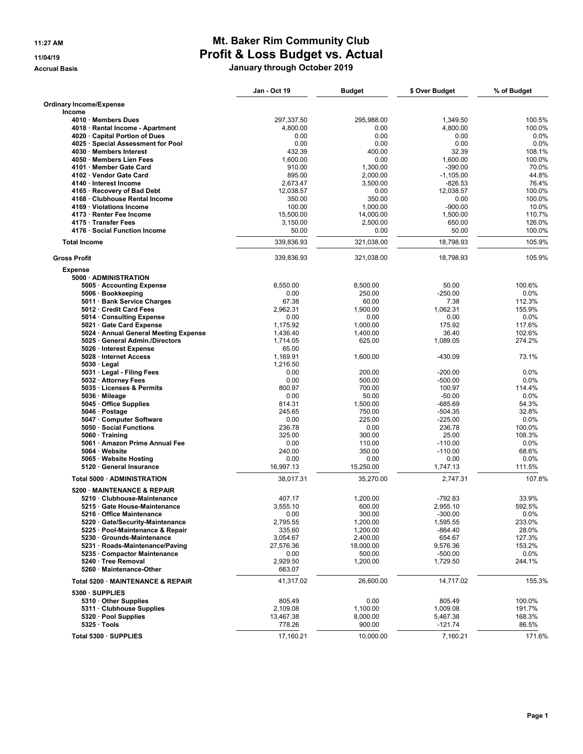# 11:27 AM **Mt. Baker Rim Community Club** 11/04/19 **Profit & Loss Budget vs. Actual** Accrual Basis **Accrual Basis** Accrual Basis **January through October 2019**

|                                                             | Jan - Oct 19        | <b>Budget</b>    | \$ Over Budget         | % of Budget    |
|-------------------------------------------------------------|---------------------|------------------|------------------------|----------------|
| <b>Ordinary Income/Expense</b>                              |                     |                  |                        |                |
| Income                                                      |                     |                  |                        |                |
| 4010 · Members Dues                                         | 297,337.50          | 295,988.00       | 1.349.50               | 100.5%         |
| 4018 · Rental Income - Apartment                            | 4,800.00            | 0.00             | 4,800.00               | 100.0%         |
| 4020 · Capital Portion of Dues                              | 0.00                | 0.00             | 0.00                   | 0.0%           |
| 4025 · Special Assessment for Pool                          | 0.00                | 0.00             | 0.00                   | 0.0%           |
| 4030 · Members Interest                                     | 432.39              | 400.00           | 32.39                  | 108.1%         |
| 4050 · Members Lien Fees                                    | 1,600.00            | 0.00             | 1,600.00               | 100.0%         |
| 4101 · Member Gate Card                                     | 910.00              | 1,300.00         | $-390.00$              | 70.0%          |
| 4102 · Vendor Gate Card<br>4140 · Interest Income           | 895.00              | 2,000.00         | $-1,105.00$            | 44.8%<br>76.4% |
| 4165 · Recovery of Bad Debt                                 | 2,673.47            | 3,500.00<br>0.00 | $-826.53$              | 100.0%         |
| 4168 · Clubhouse Rental Income                              | 12,038.57<br>350.00 | 350.00           | 12,038.57<br>0.00      | 100.0%         |
| 4169 · Violations Income                                    | 100.00              | 1,000.00         | $-900.00$              | 10.0%          |
| 4173 · Renter Fee Income                                    | 15,500.00           | 14,000.00        | 1,500.00               | 110.7%         |
| 4175 · Transfer Fees                                        | 3,150.00            | 2,500.00         | 650.00                 | 126.0%         |
| 4176 · Social Function Income                               | 50.00               | 0.00             | 50.00                  | 100.0%         |
| <b>Total Income</b>                                         | 339,836.93          | 321,038.00       | 18,798.93              | 105.9%         |
| <b>Gross Profit</b>                                         | 339,836.93          | 321,038.00       | 18,798.93              | 105.9%         |
| <b>Expense</b>                                              |                     |                  |                        |                |
| 5000 · ADMINISTRATION                                       |                     |                  |                        |                |
| 5005 · Accounting Expense                                   | 8,550.00            | 8,500.00         | 50.00                  | 100.6%         |
| 5006 · Bookkeeping                                          | 0.00                | 250.00           | $-250.00$              | 0.0%           |
| 5011 · Bank Service Charges                                 | 67.38               | 60.00            | 7.38                   | 112.3%         |
| 5012 Credit Card Fees                                       | 2,962.31            | 1.900.00         | 1.062.31               | 155.9%         |
| 5014 Consulting Expense                                     | 0.00                | 0.00             | 0.00                   | 0.0%           |
| 5021 Gate Card Expense                                      | 1,175.92            | 1,000.00         | 175.92                 | 117.6%         |
| 5024 · Annual General Meeting Expense                       | 1,436.40            | 1,400.00         | 36.40                  | 102.6%         |
| 5025 · General Admin./Directors                             | 1,714.05            | 625.00           | 1,089.05               | 274.2%         |
| 5026 · Interest Expense                                     | 65.00               |                  |                        |                |
| 5028 · Internet Access                                      | 1,169.91            | 1,600.00         | $-430.09$              | 73.1%          |
| $5030 \cdot$ Legal                                          | 1,216.50            |                  |                        |                |
| 5031 · Legal - Filing Fees                                  | 0.00                | 200.00           | $-200.00$              | 0.0%           |
| 5032 · Attorney Fees                                        | 0.00                | 500.00           | $-500.00$              | 0.0%           |
| 5035 · Licenses & Permits                                   | 800.97              | 700.00           | 100.97                 | 114.4%         |
| 5036 · Mileage                                              | 0.00                | 50.00            | $-50.00$               | 0.0%           |
| 5045 · Office Supplies                                      | 814.31              | 1,500.00         | $-685.69$              | 54.3%          |
| 5046 · Postage                                              | 245.65              | 750.00           | $-504.35$              | 32.8%          |
| 5047 · Computer Software                                    | 0.00                | 225.00           | $-225.00$              | 0.0%           |
| 5050 · Social Functions                                     | 236.78              | 0.00             | 236.78                 | 100.0%         |
| $5060 \cdot$ Training                                       | 325.00<br>0.00      | 300.00           | 25.00                  | 108.3%<br>0.0% |
| 5061 · Amazon Prime Annual Fee<br>5064 · Website            | 240.00              | 110.00<br>350.00 | $-110.00$<br>$-110.00$ | 68.6%          |
| 5065 · Website Hosting                                      | 0.00                | 0.00             | 0.00                   | 0.0%           |
| 5120 · General Insurance                                    | 16,997.13           | 15,250.00        | 1,747.13               | 111.5%         |
|                                                             |                     |                  |                        | 107.8%         |
| Total 5000 · ADMINISTRATION                                 | 38,017.31           | 35,270.00        | 2,747.31               |                |
| 5200 MAINTENANCE & REPAIR                                   |                     |                  |                        |                |
| 5210 · Clubhouse-Maintenance                                | 407.17              | 1,200.00         | $-792.83$              | 33.9%          |
| 5215 Gate House-Maintenance                                 | 3,555.10            | 600.00           | 2,955.10               | 592.5%         |
| 5216 · Office Maintenance                                   | 0.00                | 300.00           | $-300.00$              | $0.0\%$        |
| 5220 · Gate/Security-Maintenance                            | 2,795.55            | 1,200.00         | 1,595.55               | 233.0%         |
| 5225 · Pool-Maintenance & Repair                            | 335.60              | 1,200.00         | $-864.40$              | 28.0%          |
| 5230 Grounds-Maintenance<br>5231 · Roads-Maintenance/Paving | 3,054.67            | 2,400.00         | 654.67                 | 127.3%         |
|                                                             | 27,576.36           | 18,000.00        | 9,576.36               | 153.2%         |
| 5235 Compactor Maintenance                                  | 0.00                | 500.00           | $-500.00$              | 0.0%           |
| 5240 · Tree Removal<br>5260 · Maintenance-Other             | 2,929.50<br>663.07  | 1,200.00         | 1,729.50               | 244.1%         |
| Total 5200 · MAINTENANCE & REPAIR                           | 41,317.02           | 26,600.00        | 14,717.02              | 155.3%         |
| 5300 · SUPPLIES                                             |                     |                  |                        |                |
| 5310 Other Supplies                                         | 805.49              | 0.00             | 805.49                 | 100.0%         |
| 5311 · Clubhouse Supplies                                   | 2,109.08            | 1,100.00         | 1,009.08               | 191.7%         |
| 5320 · Pool Supplies                                        | 13,467.38           | 8,000.00         | 5,467.38               | 168.3%         |
| $5325 \cdot \text{Tools}$                                   | 778.26              | 900.00           | $-121.74$              | 86.5%          |
| Total 5300 · SUPPLIES                                       | 17,160.21           | 10,000.00        | 7,160.21               | 171.6%         |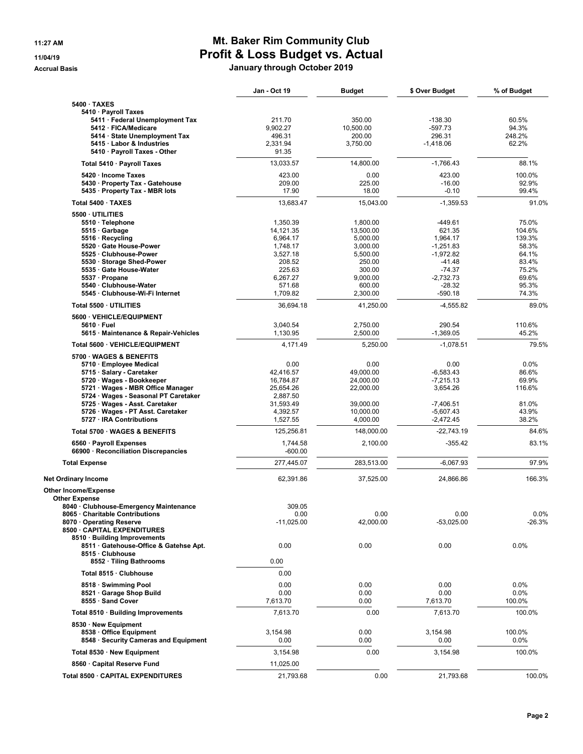# 11:27 AM **Mt. Baker Rim Community Club** 11/04/19 **Profit & Loss Budget vs. Actual** Accrual Basis **Accrual Basis** Accrual Basis **January through October 2019**

| 5400 · TAXES<br>5410 · Payroll Taxes<br>5411 · Federal Unemployment Tax<br>211.70<br>350.00<br>$-138.30$<br>60.5%<br>5412 · FICA/Medicare<br>9,902.27<br>10,500.00<br>$-597.73$<br>94.3%<br>5414 · State Unemployment Tax<br>496.31<br>200.00<br>296.31<br>248.2%<br>5415 · Labor & Industries<br>3.750.00<br>62.2%<br>2.331.94<br>$-1,418.06$<br>5410 · Payroll Taxes - Other<br>91.35<br>13,033.57<br>$-1,766.43$<br>88.1%<br>14,800.00<br>Total 5410 · Payroll Taxes<br>5420 · Income Taxes<br>423.00<br>0.00<br>423.00<br>100.0%<br>5430 · Property Tax - Gatehouse<br>209.00<br>225.00<br>$-16.00$<br>92.9%<br>99.4%<br>5435 · Property Tax - MBR lots<br>17.90<br>18.00<br>$-0.10$<br>Total 5400 · TAXES<br>13,683.47<br>15,043.00<br>$-1,359.53$<br>91.0%<br>5500 · UTILITIES<br>75.0%<br>1,350.39<br>-449.61<br>5510 · Telephone<br>1,800.00<br>5515 Garbage<br>14,121.35<br>13,500.00<br>621.35<br>104.6%<br>5516 · Recycling<br>6,964.17<br>1,964.17<br>139.3%<br>5,000.00<br>5520 Gate House-Power<br>1,748.17<br>3,000.00<br>$-1,251.83$<br>58.3%<br>5525 · Clubhouse-Power<br>3,527.18<br>$-1,972.82$<br>64.1%<br>5,500.00<br>5530 · Storage Shed-Power<br>208.52<br>250.00<br>$-41.48$<br>83.4%<br>5535 Gate House-Water<br>225.63<br>300.00<br>$-74.37$<br>75.2%<br>5537 · Propane<br>6,267.27<br>9,000.00<br>$-2,732.73$<br>69.6%<br>5540 · Clubhouse-Water<br>571.68<br>600.00<br>$-28.32$<br>95.3%<br>5545 · Clubhouse-Wi-Fi Internet<br>1,709.82<br>$-590.18$<br>74.3%<br>2,300.00<br>Total 5500 · UTILITIES<br>36,694.18<br>41,250.00<br>$-4,555.82$<br>89.0%<br>5600 · VEHICLE/EQUIPMENT<br>3.040.54<br>290.54<br>110.6%<br>2,750.00<br>5610 · Fuel<br>1,130.95<br>2,500.00<br>$-1,369.05$<br>45.2%<br>5615 · Maintenance & Repair-Vehicles<br>79.5%<br>Total 5600 · VEHICLE/EQUIPMENT<br>4,171.49<br>5,250.00<br>$-1,078.51$<br>5700 · WAGES & BENEFITS<br>0.00<br>0.00<br>0.00<br>0.0%<br>5710 · Employee Medical<br>5715 · Salary - Caretaker<br>42,416.57<br>$-6,583.43$<br>86.6%<br>49,000.00<br>5720 · Wages - Bookkeeper<br>16,784.87<br>24,000.00<br>$-7,215.13$<br>69.9%<br>5721 · Wages - MBR Office Manager<br>25,654.26<br>22,000.00<br>3,654.26<br>116.6%<br>5724 · Wages - Seasonal PT Caretaker<br>2,887.50<br>5725 · Wages - Asst. Caretaker<br>81.0%<br>31,593.49<br>39,000.00<br>$-7,406.51$<br>5726 · Wages - PT Asst. Caretaker<br>4,392.57<br>$-5,607.43$<br>43.9%<br>10,000.00<br>5727 · IRA Contributions<br>38.2%<br>1,527.55<br>$-2,472.45$<br>4,000.00<br>Total 5700 · WAGES & BENEFITS<br>125,256.81<br>148,000.00<br>$-22,743.19$<br>84.6%<br>83.1%<br>6560 · Payroll Expenses<br>2,100.00<br>$-355.42$<br>1,744.58<br>66900 · Reconciliation Discrepancies<br>$-600.00$<br>277,445.07<br>283,513.00<br>$-6,067.93$<br>97.9%<br><b>Total Expense</b><br>62,391.86<br>37,525.00<br>24,866.86<br>166.3%<br><b>Net Ordinary Income</b> |
|--------------------------------------------------------------------------------------------------------------------------------------------------------------------------------------------------------------------------------------------------------------------------------------------------------------------------------------------------------------------------------------------------------------------------------------------------------------------------------------------------------------------------------------------------------------------------------------------------------------------------------------------------------------------------------------------------------------------------------------------------------------------------------------------------------------------------------------------------------------------------------------------------------------------------------------------------------------------------------------------------------------------------------------------------------------------------------------------------------------------------------------------------------------------------------------------------------------------------------------------------------------------------------------------------------------------------------------------------------------------------------------------------------------------------------------------------------------------------------------------------------------------------------------------------------------------------------------------------------------------------------------------------------------------------------------------------------------------------------------------------------------------------------------------------------------------------------------------------------------------------------------------------------------------------------------------------------------------------------------------------------------------------------------------------------------------------------------------------------------------------------------------------------------------------------------------------------------------------------------------------------------------------------------------------------------------------------------------------------------------------------------------------------------------------------------------------------------------------------------------------------------------------------------------------------------------------------------------------------------------------------------------------------------------------------------------------------------------------------------------------------------------------------------------------------------------------------------------------------------------------------------|
|                                                                                                                                                                                                                                                                                                                                                                                                                                                                                                                                                                                                                                                                                                                                                                                                                                                                                                                                                                                                                                                                                                                                                                                                                                                                                                                                                                                                                                                                                                                                                                                                                                                                                                                                                                                                                                                                                                                                                                                                                                                                                                                                                                                                                                                                                                                                                                                                                                                                                                                                                                                                                                                                                                                                                                                                                                                                                      |
|                                                                                                                                                                                                                                                                                                                                                                                                                                                                                                                                                                                                                                                                                                                                                                                                                                                                                                                                                                                                                                                                                                                                                                                                                                                                                                                                                                                                                                                                                                                                                                                                                                                                                                                                                                                                                                                                                                                                                                                                                                                                                                                                                                                                                                                                                                                                                                                                                                                                                                                                                                                                                                                                                                                                                                                                                                                                                      |
|                                                                                                                                                                                                                                                                                                                                                                                                                                                                                                                                                                                                                                                                                                                                                                                                                                                                                                                                                                                                                                                                                                                                                                                                                                                                                                                                                                                                                                                                                                                                                                                                                                                                                                                                                                                                                                                                                                                                                                                                                                                                                                                                                                                                                                                                                                                                                                                                                                                                                                                                                                                                                                                                                                                                                                                                                                                                                      |
|                                                                                                                                                                                                                                                                                                                                                                                                                                                                                                                                                                                                                                                                                                                                                                                                                                                                                                                                                                                                                                                                                                                                                                                                                                                                                                                                                                                                                                                                                                                                                                                                                                                                                                                                                                                                                                                                                                                                                                                                                                                                                                                                                                                                                                                                                                                                                                                                                                                                                                                                                                                                                                                                                                                                                                                                                                                                                      |
|                                                                                                                                                                                                                                                                                                                                                                                                                                                                                                                                                                                                                                                                                                                                                                                                                                                                                                                                                                                                                                                                                                                                                                                                                                                                                                                                                                                                                                                                                                                                                                                                                                                                                                                                                                                                                                                                                                                                                                                                                                                                                                                                                                                                                                                                                                                                                                                                                                                                                                                                                                                                                                                                                                                                                                                                                                                                                      |
|                                                                                                                                                                                                                                                                                                                                                                                                                                                                                                                                                                                                                                                                                                                                                                                                                                                                                                                                                                                                                                                                                                                                                                                                                                                                                                                                                                                                                                                                                                                                                                                                                                                                                                                                                                                                                                                                                                                                                                                                                                                                                                                                                                                                                                                                                                                                                                                                                                                                                                                                                                                                                                                                                                                                                                                                                                                                                      |
|                                                                                                                                                                                                                                                                                                                                                                                                                                                                                                                                                                                                                                                                                                                                                                                                                                                                                                                                                                                                                                                                                                                                                                                                                                                                                                                                                                                                                                                                                                                                                                                                                                                                                                                                                                                                                                                                                                                                                                                                                                                                                                                                                                                                                                                                                                                                                                                                                                                                                                                                                                                                                                                                                                                                                                                                                                                                                      |
|                                                                                                                                                                                                                                                                                                                                                                                                                                                                                                                                                                                                                                                                                                                                                                                                                                                                                                                                                                                                                                                                                                                                                                                                                                                                                                                                                                                                                                                                                                                                                                                                                                                                                                                                                                                                                                                                                                                                                                                                                                                                                                                                                                                                                                                                                                                                                                                                                                                                                                                                                                                                                                                                                                                                                                                                                                                                                      |
|                                                                                                                                                                                                                                                                                                                                                                                                                                                                                                                                                                                                                                                                                                                                                                                                                                                                                                                                                                                                                                                                                                                                                                                                                                                                                                                                                                                                                                                                                                                                                                                                                                                                                                                                                                                                                                                                                                                                                                                                                                                                                                                                                                                                                                                                                                                                                                                                                                                                                                                                                                                                                                                                                                                                                                                                                                                                                      |
|                                                                                                                                                                                                                                                                                                                                                                                                                                                                                                                                                                                                                                                                                                                                                                                                                                                                                                                                                                                                                                                                                                                                                                                                                                                                                                                                                                                                                                                                                                                                                                                                                                                                                                                                                                                                                                                                                                                                                                                                                                                                                                                                                                                                                                                                                                                                                                                                                                                                                                                                                                                                                                                                                                                                                                                                                                                                                      |
|                                                                                                                                                                                                                                                                                                                                                                                                                                                                                                                                                                                                                                                                                                                                                                                                                                                                                                                                                                                                                                                                                                                                                                                                                                                                                                                                                                                                                                                                                                                                                                                                                                                                                                                                                                                                                                                                                                                                                                                                                                                                                                                                                                                                                                                                                                                                                                                                                                                                                                                                                                                                                                                                                                                                                                                                                                                                                      |
|                                                                                                                                                                                                                                                                                                                                                                                                                                                                                                                                                                                                                                                                                                                                                                                                                                                                                                                                                                                                                                                                                                                                                                                                                                                                                                                                                                                                                                                                                                                                                                                                                                                                                                                                                                                                                                                                                                                                                                                                                                                                                                                                                                                                                                                                                                                                                                                                                                                                                                                                                                                                                                                                                                                                                                                                                                                                                      |
|                                                                                                                                                                                                                                                                                                                                                                                                                                                                                                                                                                                                                                                                                                                                                                                                                                                                                                                                                                                                                                                                                                                                                                                                                                                                                                                                                                                                                                                                                                                                                                                                                                                                                                                                                                                                                                                                                                                                                                                                                                                                                                                                                                                                                                                                                                                                                                                                                                                                                                                                                                                                                                                                                                                                                                                                                                                                                      |
|                                                                                                                                                                                                                                                                                                                                                                                                                                                                                                                                                                                                                                                                                                                                                                                                                                                                                                                                                                                                                                                                                                                                                                                                                                                                                                                                                                                                                                                                                                                                                                                                                                                                                                                                                                                                                                                                                                                                                                                                                                                                                                                                                                                                                                                                                                                                                                                                                                                                                                                                                                                                                                                                                                                                                                                                                                                                                      |
|                                                                                                                                                                                                                                                                                                                                                                                                                                                                                                                                                                                                                                                                                                                                                                                                                                                                                                                                                                                                                                                                                                                                                                                                                                                                                                                                                                                                                                                                                                                                                                                                                                                                                                                                                                                                                                                                                                                                                                                                                                                                                                                                                                                                                                                                                                                                                                                                                                                                                                                                                                                                                                                                                                                                                                                                                                                                                      |
|                                                                                                                                                                                                                                                                                                                                                                                                                                                                                                                                                                                                                                                                                                                                                                                                                                                                                                                                                                                                                                                                                                                                                                                                                                                                                                                                                                                                                                                                                                                                                                                                                                                                                                                                                                                                                                                                                                                                                                                                                                                                                                                                                                                                                                                                                                                                                                                                                                                                                                                                                                                                                                                                                                                                                                                                                                                                                      |
|                                                                                                                                                                                                                                                                                                                                                                                                                                                                                                                                                                                                                                                                                                                                                                                                                                                                                                                                                                                                                                                                                                                                                                                                                                                                                                                                                                                                                                                                                                                                                                                                                                                                                                                                                                                                                                                                                                                                                                                                                                                                                                                                                                                                                                                                                                                                                                                                                                                                                                                                                                                                                                                                                                                                                                                                                                                                                      |
|                                                                                                                                                                                                                                                                                                                                                                                                                                                                                                                                                                                                                                                                                                                                                                                                                                                                                                                                                                                                                                                                                                                                                                                                                                                                                                                                                                                                                                                                                                                                                                                                                                                                                                                                                                                                                                                                                                                                                                                                                                                                                                                                                                                                                                                                                                                                                                                                                                                                                                                                                                                                                                                                                                                                                                                                                                                                                      |
|                                                                                                                                                                                                                                                                                                                                                                                                                                                                                                                                                                                                                                                                                                                                                                                                                                                                                                                                                                                                                                                                                                                                                                                                                                                                                                                                                                                                                                                                                                                                                                                                                                                                                                                                                                                                                                                                                                                                                                                                                                                                                                                                                                                                                                                                                                                                                                                                                                                                                                                                                                                                                                                                                                                                                                                                                                                                                      |
|                                                                                                                                                                                                                                                                                                                                                                                                                                                                                                                                                                                                                                                                                                                                                                                                                                                                                                                                                                                                                                                                                                                                                                                                                                                                                                                                                                                                                                                                                                                                                                                                                                                                                                                                                                                                                                                                                                                                                                                                                                                                                                                                                                                                                                                                                                                                                                                                                                                                                                                                                                                                                                                                                                                                                                                                                                                                                      |
|                                                                                                                                                                                                                                                                                                                                                                                                                                                                                                                                                                                                                                                                                                                                                                                                                                                                                                                                                                                                                                                                                                                                                                                                                                                                                                                                                                                                                                                                                                                                                                                                                                                                                                                                                                                                                                                                                                                                                                                                                                                                                                                                                                                                                                                                                                                                                                                                                                                                                                                                                                                                                                                                                                                                                                                                                                                                                      |
|                                                                                                                                                                                                                                                                                                                                                                                                                                                                                                                                                                                                                                                                                                                                                                                                                                                                                                                                                                                                                                                                                                                                                                                                                                                                                                                                                                                                                                                                                                                                                                                                                                                                                                                                                                                                                                                                                                                                                                                                                                                                                                                                                                                                                                                                                                                                                                                                                                                                                                                                                                                                                                                                                                                                                                                                                                                                                      |
|                                                                                                                                                                                                                                                                                                                                                                                                                                                                                                                                                                                                                                                                                                                                                                                                                                                                                                                                                                                                                                                                                                                                                                                                                                                                                                                                                                                                                                                                                                                                                                                                                                                                                                                                                                                                                                                                                                                                                                                                                                                                                                                                                                                                                                                                                                                                                                                                                                                                                                                                                                                                                                                                                                                                                                                                                                                                                      |
|                                                                                                                                                                                                                                                                                                                                                                                                                                                                                                                                                                                                                                                                                                                                                                                                                                                                                                                                                                                                                                                                                                                                                                                                                                                                                                                                                                                                                                                                                                                                                                                                                                                                                                                                                                                                                                                                                                                                                                                                                                                                                                                                                                                                                                                                                                                                                                                                                                                                                                                                                                                                                                                                                                                                                                                                                                                                                      |
|                                                                                                                                                                                                                                                                                                                                                                                                                                                                                                                                                                                                                                                                                                                                                                                                                                                                                                                                                                                                                                                                                                                                                                                                                                                                                                                                                                                                                                                                                                                                                                                                                                                                                                                                                                                                                                                                                                                                                                                                                                                                                                                                                                                                                                                                                                                                                                                                                                                                                                                                                                                                                                                                                                                                                                                                                                                                                      |
|                                                                                                                                                                                                                                                                                                                                                                                                                                                                                                                                                                                                                                                                                                                                                                                                                                                                                                                                                                                                                                                                                                                                                                                                                                                                                                                                                                                                                                                                                                                                                                                                                                                                                                                                                                                                                                                                                                                                                                                                                                                                                                                                                                                                                                                                                                                                                                                                                                                                                                                                                                                                                                                                                                                                                                                                                                                                                      |
|                                                                                                                                                                                                                                                                                                                                                                                                                                                                                                                                                                                                                                                                                                                                                                                                                                                                                                                                                                                                                                                                                                                                                                                                                                                                                                                                                                                                                                                                                                                                                                                                                                                                                                                                                                                                                                                                                                                                                                                                                                                                                                                                                                                                                                                                                                                                                                                                                                                                                                                                                                                                                                                                                                                                                                                                                                                                                      |
|                                                                                                                                                                                                                                                                                                                                                                                                                                                                                                                                                                                                                                                                                                                                                                                                                                                                                                                                                                                                                                                                                                                                                                                                                                                                                                                                                                                                                                                                                                                                                                                                                                                                                                                                                                                                                                                                                                                                                                                                                                                                                                                                                                                                                                                                                                                                                                                                                                                                                                                                                                                                                                                                                                                                                                                                                                                                                      |
|                                                                                                                                                                                                                                                                                                                                                                                                                                                                                                                                                                                                                                                                                                                                                                                                                                                                                                                                                                                                                                                                                                                                                                                                                                                                                                                                                                                                                                                                                                                                                                                                                                                                                                                                                                                                                                                                                                                                                                                                                                                                                                                                                                                                                                                                                                                                                                                                                                                                                                                                                                                                                                                                                                                                                                                                                                                                                      |
|                                                                                                                                                                                                                                                                                                                                                                                                                                                                                                                                                                                                                                                                                                                                                                                                                                                                                                                                                                                                                                                                                                                                                                                                                                                                                                                                                                                                                                                                                                                                                                                                                                                                                                                                                                                                                                                                                                                                                                                                                                                                                                                                                                                                                                                                                                                                                                                                                                                                                                                                                                                                                                                                                                                                                                                                                                                                                      |
|                                                                                                                                                                                                                                                                                                                                                                                                                                                                                                                                                                                                                                                                                                                                                                                                                                                                                                                                                                                                                                                                                                                                                                                                                                                                                                                                                                                                                                                                                                                                                                                                                                                                                                                                                                                                                                                                                                                                                                                                                                                                                                                                                                                                                                                                                                                                                                                                                                                                                                                                                                                                                                                                                                                                                                                                                                                                                      |
|                                                                                                                                                                                                                                                                                                                                                                                                                                                                                                                                                                                                                                                                                                                                                                                                                                                                                                                                                                                                                                                                                                                                                                                                                                                                                                                                                                                                                                                                                                                                                                                                                                                                                                                                                                                                                                                                                                                                                                                                                                                                                                                                                                                                                                                                                                                                                                                                                                                                                                                                                                                                                                                                                                                                                                                                                                                                                      |
|                                                                                                                                                                                                                                                                                                                                                                                                                                                                                                                                                                                                                                                                                                                                                                                                                                                                                                                                                                                                                                                                                                                                                                                                                                                                                                                                                                                                                                                                                                                                                                                                                                                                                                                                                                                                                                                                                                                                                                                                                                                                                                                                                                                                                                                                                                                                                                                                                                                                                                                                                                                                                                                                                                                                                                                                                                                                                      |
|                                                                                                                                                                                                                                                                                                                                                                                                                                                                                                                                                                                                                                                                                                                                                                                                                                                                                                                                                                                                                                                                                                                                                                                                                                                                                                                                                                                                                                                                                                                                                                                                                                                                                                                                                                                                                                                                                                                                                                                                                                                                                                                                                                                                                                                                                                                                                                                                                                                                                                                                                                                                                                                                                                                                                                                                                                                                                      |
|                                                                                                                                                                                                                                                                                                                                                                                                                                                                                                                                                                                                                                                                                                                                                                                                                                                                                                                                                                                                                                                                                                                                                                                                                                                                                                                                                                                                                                                                                                                                                                                                                                                                                                                                                                                                                                                                                                                                                                                                                                                                                                                                                                                                                                                                                                                                                                                                                                                                                                                                                                                                                                                                                                                                                                                                                                                                                      |
|                                                                                                                                                                                                                                                                                                                                                                                                                                                                                                                                                                                                                                                                                                                                                                                                                                                                                                                                                                                                                                                                                                                                                                                                                                                                                                                                                                                                                                                                                                                                                                                                                                                                                                                                                                                                                                                                                                                                                                                                                                                                                                                                                                                                                                                                                                                                                                                                                                                                                                                                                                                                                                                                                                                                                                                                                                                                                      |
|                                                                                                                                                                                                                                                                                                                                                                                                                                                                                                                                                                                                                                                                                                                                                                                                                                                                                                                                                                                                                                                                                                                                                                                                                                                                                                                                                                                                                                                                                                                                                                                                                                                                                                                                                                                                                                                                                                                                                                                                                                                                                                                                                                                                                                                                                                                                                                                                                                                                                                                                                                                                                                                                                                                                                                                                                                                                                      |
|                                                                                                                                                                                                                                                                                                                                                                                                                                                                                                                                                                                                                                                                                                                                                                                                                                                                                                                                                                                                                                                                                                                                                                                                                                                                                                                                                                                                                                                                                                                                                                                                                                                                                                                                                                                                                                                                                                                                                                                                                                                                                                                                                                                                                                                                                                                                                                                                                                                                                                                                                                                                                                                                                                                                                                                                                                                                                      |
|                                                                                                                                                                                                                                                                                                                                                                                                                                                                                                                                                                                                                                                                                                                                                                                                                                                                                                                                                                                                                                                                                                                                                                                                                                                                                                                                                                                                                                                                                                                                                                                                                                                                                                                                                                                                                                                                                                                                                                                                                                                                                                                                                                                                                                                                                                                                                                                                                                                                                                                                                                                                                                                                                                                                                                                                                                                                                      |
|                                                                                                                                                                                                                                                                                                                                                                                                                                                                                                                                                                                                                                                                                                                                                                                                                                                                                                                                                                                                                                                                                                                                                                                                                                                                                                                                                                                                                                                                                                                                                                                                                                                                                                                                                                                                                                                                                                                                                                                                                                                                                                                                                                                                                                                                                                                                                                                                                                                                                                                                                                                                                                                                                                                                                                                                                                                                                      |
|                                                                                                                                                                                                                                                                                                                                                                                                                                                                                                                                                                                                                                                                                                                                                                                                                                                                                                                                                                                                                                                                                                                                                                                                                                                                                                                                                                                                                                                                                                                                                                                                                                                                                                                                                                                                                                                                                                                                                                                                                                                                                                                                                                                                                                                                                                                                                                                                                                                                                                                                                                                                                                                                                                                                                                                                                                                                                      |
| <b>Other Income/Expense</b>                                                                                                                                                                                                                                                                                                                                                                                                                                                                                                                                                                                                                                                                                                                                                                                                                                                                                                                                                                                                                                                                                                                                                                                                                                                                                                                                                                                                                                                                                                                                                                                                                                                                                                                                                                                                                                                                                                                                                                                                                                                                                                                                                                                                                                                                                                                                                                                                                                                                                                                                                                                                                                                                                                                                                                                                                                                          |
| Other Expense<br>309.05<br>8040 · Clubhouse-Emergency Maintenance                                                                                                                                                                                                                                                                                                                                                                                                                                                                                                                                                                                                                                                                                                                                                                                                                                                                                                                                                                                                                                                                                                                                                                                                                                                                                                                                                                                                                                                                                                                                                                                                                                                                                                                                                                                                                                                                                                                                                                                                                                                                                                                                                                                                                                                                                                                                                                                                                                                                                                                                                                                                                                                                                                                                                                                                                    |
| 0.0%<br>0.00<br>0.00<br>0.00<br>8065 · Charitable Contributions                                                                                                                                                                                                                                                                                                                                                                                                                                                                                                                                                                                                                                                                                                                                                                                                                                                                                                                                                                                                                                                                                                                                                                                                                                                                                                                                                                                                                                                                                                                                                                                                                                                                                                                                                                                                                                                                                                                                                                                                                                                                                                                                                                                                                                                                                                                                                                                                                                                                                                                                                                                                                                                                                                                                                                                                                      |
| 8070 Operating Reserve<br>$-11,025.00$<br>42,000.00<br>-53,025.00<br>$-26.3%$                                                                                                                                                                                                                                                                                                                                                                                                                                                                                                                                                                                                                                                                                                                                                                                                                                                                                                                                                                                                                                                                                                                                                                                                                                                                                                                                                                                                                                                                                                                                                                                                                                                                                                                                                                                                                                                                                                                                                                                                                                                                                                                                                                                                                                                                                                                                                                                                                                                                                                                                                                                                                                                                                                                                                                                                        |
| 8500 CAPITAL EXPENDITURES                                                                                                                                                                                                                                                                                                                                                                                                                                                                                                                                                                                                                                                                                                                                                                                                                                                                                                                                                                                                                                                                                                                                                                                                                                                                                                                                                                                                                                                                                                                                                                                                                                                                                                                                                                                                                                                                                                                                                                                                                                                                                                                                                                                                                                                                                                                                                                                                                                                                                                                                                                                                                                                                                                                                                                                                                                                            |
| 8510 · Building Improvements                                                                                                                                                                                                                                                                                                                                                                                                                                                                                                                                                                                                                                                                                                                                                                                                                                                                                                                                                                                                                                                                                                                                                                                                                                                                                                                                                                                                                                                                                                                                                                                                                                                                                                                                                                                                                                                                                                                                                                                                                                                                                                                                                                                                                                                                                                                                                                                                                                                                                                                                                                                                                                                                                                                                                                                                                                                         |
| 8511 Gatehouse-Office & Gatehse Apt.<br>0.00<br>0.00<br>0.00<br>0.0%                                                                                                                                                                                                                                                                                                                                                                                                                                                                                                                                                                                                                                                                                                                                                                                                                                                                                                                                                                                                                                                                                                                                                                                                                                                                                                                                                                                                                                                                                                                                                                                                                                                                                                                                                                                                                                                                                                                                                                                                                                                                                                                                                                                                                                                                                                                                                                                                                                                                                                                                                                                                                                                                                                                                                                                                                 |
| 8515 · Clubhouse                                                                                                                                                                                                                                                                                                                                                                                                                                                                                                                                                                                                                                                                                                                                                                                                                                                                                                                                                                                                                                                                                                                                                                                                                                                                                                                                                                                                                                                                                                                                                                                                                                                                                                                                                                                                                                                                                                                                                                                                                                                                                                                                                                                                                                                                                                                                                                                                                                                                                                                                                                                                                                                                                                                                                                                                                                                                     |
| 8552 · Tiling Bathrooms<br>0.00                                                                                                                                                                                                                                                                                                                                                                                                                                                                                                                                                                                                                                                                                                                                                                                                                                                                                                                                                                                                                                                                                                                                                                                                                                                                                                                                                                                                                                                                                                                                                                                                                                                                                                                                                                                                                                                                                                                                                                                                                                                                                                                                                                                                                                                                                                                                                                                                                                                                                                                                                                                                                                                                                                                                                                                                                                                      |
| 0.00<br>Total 8515 · Clubhouse                                                                                                                                                                                                                                                                                                                                                                                                                                                                                                                                                                                                                                                                                                                                                                                                                                                                                                                                                                                                                                                                                                                                                                                                                                                                                                                                                                                                                                                                                                                                                                                                                                                                                                                                                                                                                                                                                                                                                                                                                                                                                                                                                                                                                                                                                                                                                                                                                                                                                                                                                                                                                                                                                                                                                                                                                                                       |
| 0.00<br>0.00<br>0.00<br>0.0%<br>8518 · Swimming Pool                                                                                                                                                                                                                                                                                                                                                                                                                                                                                                                                                                                                                                                                                                                                                                                                                                                                                                                                                                                                                                                                                                                                                                                                                                                                                                                                                                                                                                                                                                                                                                                                                                                                                                                                                                                                                                                                                                                                                                                                                                                                                                                                                                                                                                                                                                                                                                                                                                                                                                                                                                                                                                                                                                                                                                                                                                 |
| 8521 Garage Shop Build<br>0.00<br>0.00<br>0.00<br>0.0%                                                                                                                                                                                                                                                                                                                                                                                                                                                                                                                                                                                                                                                                                                                                                                                                                                                                                                                                                                                                                                                                                                                                                                                                                                                                                                                                                                                                                                                                                                                                                                                                                                                                                                                                                                                                                                                                                                                                                                                                                                                                                                                                                                                                                                                                                                                                                                                                                                                                                                                                                                                                                                                                                                                                                                                                                               |
| 8555 · Sand Cover<br>7,613.70<br>0.00<br>7,613.70<br>100.0%                                                                                                                                                                                                                                                                                                                                                                                                                                                                                                                                                                                                                                                                                                                                                                                                                                                                                                                                                                                                                                                                                                                                                                                                                                                                                                                                                                                                                                                                                                                                                                                                                                                                                                                                                                                                                                                                                                                                                                                                                                                                                                                                                                                                                                                                                                                                                                                                                                                                                                                                                                                                                                                                                                                                                                                                                          |
| Total 8510 · Building Improvements<br>7,613.70<br>0.00<br>7,613.70<br>100.0%                                                                                                                                                                                                                                                                                                                                                                                                                                                                                                                                                                                                                                                                                                                                                                                                                                                                                                                                                                                                                                                                                                                                                                                                                                                                                                                                                                                                                                                                                                                                                                                                                                                                                                                                                                                                                                                                                                                                                                                                                                                                                                                                                                                                                                                                                                                                                                                                                                                                                                                                                                                                                                                                                                                                                                                                         |
| 8530 · New Equipment                                                                                                                                                                                                                                                                                                                                                                                                                                                                                                                                                                                                                                                                                                                                                                                                                                                                                                                                                                                                                                                                                                                                                                                                                                                                                                                                                                                                                                                                                                                                                                                                                                                                                                                                                                                                                                                                                                                                                                                                                                                                                                                                                                                                                                                                                                                                                                                                                                                                                                                                                                                                                                                                                                                                                                                                                                                                 |
| 8538 Office Equipment<br>0.00<br>100.0%<br>3,154.98<br>3,154.98                                                                                                                                                                                                                                                                                                                                                                                                                                                                                                                                                                                                                                                                                                                                                                                                                                                                                                                                                                                                                                                                                                                                                                                                                                                                                                                                                                                                                                                                                                                                                                                                                                                                                                                                                                                                                                                                                                                                                                                                                                                                                                                                                                                                                                                                                                                                                                                                                                                                                                                                                                                                                                                                                                                                                                                                                      |
| 8548 · Security Cameras and Equipment<br>0.00<br>0.0%<br>0.00<br>0.00                                                                                                                                                                                                                                                                                                                                                                                                                                                                                                                                                                                                                                                                                                                                                                                                                                                                                                                                                                                                                                                                                                                                                                                                                                                                                                                                                                                                                                                                                                                                                                                                                                                                                                                                                                                                                                                                                                                                                                                                                                                                                                                                                                                                                                                                                                                                                                                                                                                                                                                                                                                                                                                                                                                                                                                                                |
| 0.00<br>100.0%<br>3,154.98<br>3,154.98<br>Total 8530 · New Equipment                                                                                                                                                                                                                                                                                                                                                                                                                                                                                                                                                                                                                                                                                                                                                                                                                                                                                                                                                                                                                                                                                                                                                                                                                                                                                                                                                                                                                                                                                                                                                                                                                                                                                                                                                                                                                                                                                                                                                                                                                                                                                                                                                                                                                                                                                                                                                                                                                                                                                                                                                                                                                                                                                                                                                                                                                 |
| 8560 · Capital Reserve Fund<br>11,025.00                                                                                                                                                                                                                                                                                                                                                                                                                                                                                                                                                                                                                                                                                                                                                                                                                                                                                                                                                                                                                                                                                                                                                                                                                                                                                                                                                                                                                                                                                                                                                                                                                                                                                                                                                                                                                                                                                                                                                                                                                                                                                                                                                                                                                                                                                                                                                                                                                                                                                                                                                                                                                                                                                                                                                                                                                                             |
| 0.00<br>Total 8500 · CAPITAL EXPENDITURES<br>21,793.68<br>21,793.68<br>100.0%                                                                                                                                                                                                                                                                                                                                                                                                                                                                                                                                                                                                                                                                                                                                                                                                                                                                                                                                                                                                                                                                                                                                                                                                                                                                                                                                                                                                                                                                                                                                                                                                                                                                                                                                                                                                                                                                                                                                                                                                                                                                                                                                                                                                                                                                                                                                                                                                                                                                                                                                                                                                                                                                                                                                                                                                        |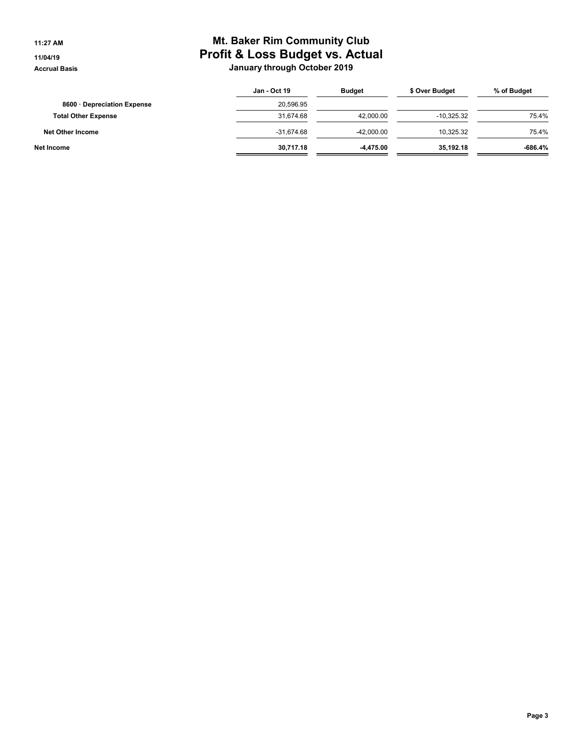# 11:27 AM **Mt. Baker Rim Community Club** 11/04/19 **Profit & Loss Budget vs. Actual** Accrual Basis **Accrual Basis** Accrual Basis **January through October 2019**

|                            | Jan - Oct 19 | <b>Budget</b> | \$ Over Budget | % of Budget |
|----------------------------|--------------|---------------|----------------|-------------|
| 8600 Depreciation Expense  | 20.596.95    |               |                |             |
| <b>Total Other Expense</b> | 31.674.68    | 42.000.00     | $-10.325.32$   | 75.4%       |
| Net Other Income           | $-31.674.68$ | -42.000.00    | 10.325.32      | 75.4%       |
| Net Income                 | 30,717.18    | -4.475.00     | 35.192.18      | $-686.4%$   |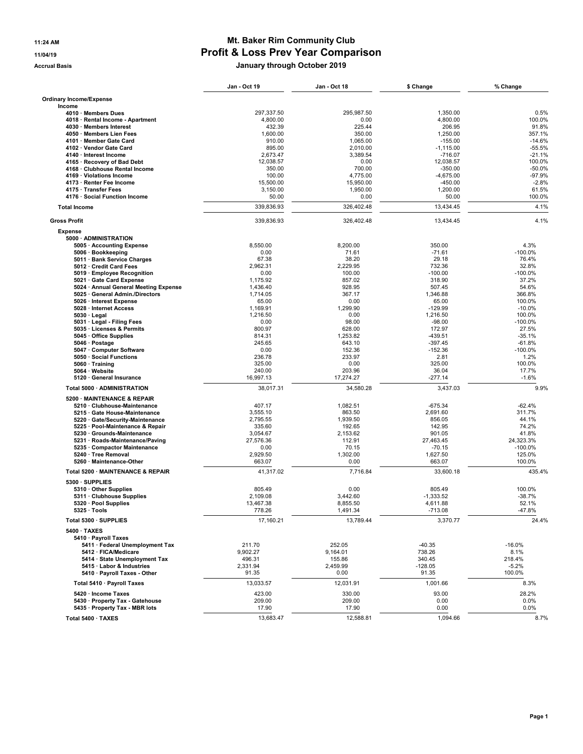## 11:24 AM **Mt. Baker Rim Community Club** 11/04/19 Profit & Loss Prev Year Comparison Accrual Basis January through October 2019

|                                                                          | Jan - Oct 19        | Jan - Oct 18        | \$ Change             | % Change             |
|--------------------------------------------------------------------------|---------------------|---------------------|-----------------------|----------------------|
| <b>Ordinary Income/Expense</b>                                           |                     |                     |                       |                      |
| Income                                                                   |                     |                     |                       |                      |
| 4010 · Members Dues                                                      | 297,337.50          | 295,987.50          | 1,350.00              | 0.5%                 |
| 4018 · Rental Income - Apartment                                         | 4,800.00            | 0.00                | 4,800.00              | 100.0%               |
| 4030 · Members Interest                                                  | 432.39              | 225.44              | 206.95                | 91.8%                |
| 4050 · Members Lien Fees<br>4101 · Member Gate Card                      | 1,600.00<br>910.00  | 350.00<br>1.065.00  | 1.250.00<br>$-155.00$ | 357.1%<br>$-14.6%$   |
| 4102 · Vendor Gate Card                                                  | 895.00              | 2,010.00            | $-1,115.00$           | $-55.5%$             |
| 4140 · Interest Income                                                   | 2,673.47            | 3,389.54            | $-716.07$             | $-21.1%$             |
| 4165 · Recovery of Bad Debt                                              | 12,038.57           | 0.00                | 12,038.57             | 100.0%               |
| 4168 · Clubhouse Rental Income                                           | 350.00              | 700.00              | $-350.00$             | $-50.0%$             |
| 4169 · Violations Income                                                 | 100.00              | 4,775.00            | $-4,675.00$           | $-97.9%$             |
| 4173 · Renter Fee Income                                                 | 15,500.00           | 15,950.00           | $-450.00$             | $-2.8%$              |
| 4175 · Transfer Fees                                                     | 3.150.00            | 1,950.00            | 1,200.00              | 61.5%                |
| 4176 · Social Function Income                                            | 50.00               | 0.00                | 50.00                 | 100.0%               |
| <b>Total Income</b>                                                      | 339,836.93          | 326,402.48          | 13,434.45             | 4.1%                 |
| <b>Gross Profit</b>                                                      | 339,836.93          | 326,402.48          | 13,434.45             | 4.1%                 |
| <b>Expense</b>                                                           |                     |                     |                       |                      |
| 5000 · ADMINISTRATION                                                    |                     |                     |                       |                      |
| 5005 · Accounting Expense                                                | 8,550.00            | 8,200.00            | 350.00                | 4.3%                 |
| 5006 · Bookkeeping                                                       | 0.00                | 71.61               | $-71.61$              | $-100.0%$            |
| 5011 · Bank Service Charges                                              | 67.38               | 38.20               | 29.18                 | 76.4%                |
| 5012 Credit Card Fees                                                    | 2,962.31            | 2,229.95            | 732.36                | 32.8%                |
| 5019 · Employee Recognition<br>5021 Gate Card Expense                    | 0.00<br>1,175.92    | 100.00              | $-100.00$<br>318.90   | $-100.0%$<br>37.2%   |
|                                                                          | 1,436.40            | 857.02<br>928.95    | 507.45                | 54.6%                |
| 5024 · Annual General Meeting Expense<br>5025 · General Admin./Directors | 1,714.05            | 367.17              | 1,346.88              | 366.8%               |
| 5026 · Interest Expense                                                  | 65.00               | 0.00                | 65.00                 | 100.0%               |
| 5028 · Internet Access                                                   | 1,169.91            | 1,299.90            | $-129.99$             | $-10.0%$             |
| $5030 \cdot$ Legal                                                       | 1,216.50            | 0.00                | 1.216.50              | 100.0%               |
| 5031 · Legal - Filing Fees                                               | 0.00                | 98.00               | $-98.00$              | -100.0%              |
| 5035 · Licenses & Permits                                                | 800.97              | 628.00              | 172.97                | 27.5%                |
| 5045 · Office Supplies                                                   | 814.31              | 1,253.82            | $-439.51$             | $-35.1%$             |
| 5046 · Postage                                                           | 245.65              | 643.10              | $-397.45$             | $-61.8%$             |
| 5047 · Computer Software                                                 | 0.00                | 152.36              | $-152.36$             | $-100.0%$            |
| 5050 · Social Functions                                                  | 236.78              | 233.97              | 2.81                  | 1.2%                 |
| 5060 · Training                                                          | 325.00              | 0.00                | 325.00                | 100.0%               |
| 5064 · Website<br>5120 · General Insurance                               | 240.00<br>16,997.13 | 203.96<br>17,274.27 | 36.04<br>$-277.14$    | 17.7%<br>$-1.6%$     |
| Total 5000 · ADMINISTRATION                                              | 38,017.31           | 34,580.28           | 3,437.03              | 9.9%                 |
| 5200 · MAINTENANCE & REPAIR                                              |                     |                     |                       |                      |
| 5210 · Clubhouse-Maintenance                                             | 407.17              | 1,082.51            | $-675.34$             | $-62.4%$             |
| 5215 · Gate House-Maintenance                                            | 3,555.10            | 863.50              | 2,691.60              | 311.7%               |
| 5220 · Gate/Security-Maintenance                                         | 2,795.55            | 1,939.50            | 856.05                | 44.1%                |
| 5225 · Pool-Maintenance & Repair                                         | 335.60              | 192.65              | 142.95                | 74.2%                |
| 5230 Grounds-Maintenance                                                 | 3,054.67            | 2,153.62            | 901.05                | 41.8%                |
| 5231 · Roads-Maintenance/Paving                                          | 27,576.36           | 112.91<br>70.15     | 27,463.45<br>$-70.15$ | 24,323.3%<br>-100.0% |
| 5235 · Compactor Maintenance<br>5240 · Tree Removal                      | 0.00<br>2,929.50    | 1,302.00            | 1,627.50              | 125.0%               |
| 5260 · Maintenance-Other                                                 | 663.07              | 0.00                | 663.07                | 100.0%               |
| Total 5200 · MAINTENANCE & REPAIR                                        | 41,317.02           | 7,716.84            | 33,600.18             | 435.4%               |
| 5300 · SUPPLIES                                                          |                     |                     |                       |                      |
| 5310 · Other Supplies                                                    | 805.49              | 0.00                | 805.49                | 100.0%               |
| 5311 Clubhouse Supplies                                                  | 2,109.08            | 3,442.60            | $-1,333.52$           | $-38.7%$             |
| 5320 · Pool Supplies                                                     | 13,467.38           | 8,855.50            | 4,611.88              | 52.1%                |
| $5325 \cdot$ Tools                                                       | 778.26              | 1,491.34            | $-713.08$             | -47.8%               |
| Total 5300 · SUPPLIES                                                    | 17,160.21           | 13,789.44           | 3,370.77              | 24.4%                |
| $5400 \cdot TAXES$                                                       |                     |                     |                       |                      |
| 5410 · Payroll Taxes<br>5411 · Federal Unemployment Tax                  | 211.70              | 252.05              | $-40.35$              | $-16.0%$             |
| 5412 · FICA/Medicare                                                     | 9,902.27            | 9,164.01            | 738.26                | 8.1%                 |
| 5414 · State Unemployment Tax                                            | 496.31              | 155.86              | 340.45                | 218.4%               |
| 5415 · Labor & Industries                                                | 2,331.94            | 2,459.99            | $-128.05$             | $-5.2%$              |
| 5410 · Payroll Taxes - Other                                             | 91.35               | 0.00                | 91.35                 | 100.0%               |
| Total 5410 · Payroll Taxes                                               | 13,033.57           | 12,031.91           | 1,001.66              | 8.3%                 |
| 5420 · Income Taxes                                                      | 423.00              | 330.00              | 93.00                 | 28.2%                |
| 5430 · Property Tax - Gatehouse                                          | 209.00              | 209.00              | 0.00                  | 0.0%                 |
| 5435 · Property Tax - MBR lots                                           | 17.90               | 17.90               | 0.00                  | 0.0%                 |
|                                                                          |                     |                     |                       |                      |
| Total 5400 · TAXES                                                       | 13,683.47           | 12,588.81           | 1,094.66              | 8.7%                 |